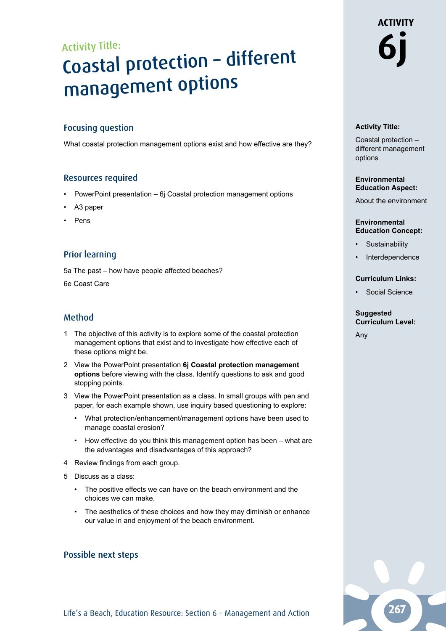# Activity Title: Coastal protection – different management options

# Focusing question

What coastal protection management options exist and how effective are they?

## Resources required

- PowerPoint presentation 6j Coastal protection management options
- A<sub>3</sub> paper
- **Pens**

# Prior learning

5a The past – how have people affected beaches?

6e Coast Care

# Method

- 1 The objective of this activity is to explore some of the coastal protection management options that exist and to investigate how effective each of these options might be.
- 2 View the PowerPoint presentation **6j Coastal protection management options** before viewing with the class. Identify questions to ask and good stopping points.
- 3 View the PowerPoint presentation as a class. In small groups with pen and paper, for each example shown, use inquiry based questioning to explore:
	- What protection/enhancement/management options have been used to manage coastal erosion?
	- How effective do you think this management option has been what are the advantages and disadvantages of this approach?
- 4 Review findings from each group.
- 5 Discuss as a class:
	- The positive effects we can have on the beach environment and the choices we can make.
	- The aesthetics of these choices and how they may diminish or enhance our value in and enjoyment of the beach environment.

### Possible next steps

# **ACTIVITY 6j**

### **Activity Title:**

Coastal protection – different management options

### **Environmental Education Aspect:**

About the environment

### **Environmental Education Concept:**

- **Sustainability**
- **Interdependence**

### **Curriculum Links:**

• Social Science

#### **Suggested Curriculum Level:**

Any

Life's a Beach, Education Resource: Section 6 - Management and Action